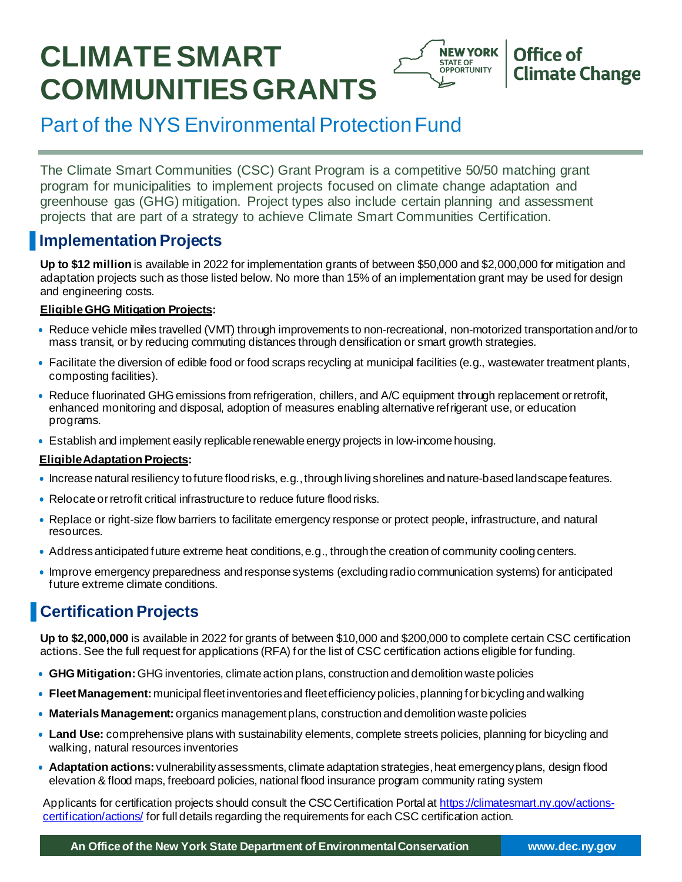# **CLIMATE SMART COMMUNITIESGRANTS**



# Part of the NYS Environmental Protection Fund

The Climate Smart Communities (CSC) Grant Program is a competitive 50/50 matching grant program for municipalities to implement projects focused on climate change adaptation and greenhouse gas (GHG) mitigation. Project types also include certain planning and assessment projects that are part of a strategy to achieve Climate Smart Communities Certification.

### ▐ **Implementation Projects**

**Up to \$12 million** is available in 2022 for implementation grants of between \$50,000 and \$2,000,000 for mitigation and adaptation projects such as those listed below. No more than 15% of an implementation grant may be used for design and engineering costs.

### **EligibleGHG Mitigation Projects:**

- Reduce vehicle miles travelled (VMT) through improvements to non-recreational, non-motorized transportation and/orto mass transit, or by reducing commuting distances through densification or smart growth strategies.
- Facilitate the diversion of edible food or food scraps recycling at municipal facilities (e.g., wastewater treatment plants, composting facilities).
- Reduce fluorinated GHGemissions from refrigeration, chillers, and A/C equipment through replacement orretrofit, enhanced monitoring and disposal, adoption of measures enabling alternative refrigerant use, or education programs.
- Establish and implement easily replicable renewable energy projects in low-income housing.

### **EligibleAdaptation Projects:**

- Increase natural resiliency to future flood risks, e.g., through living shorelines and nature-based landscape features.
- Relocate or retrofit critical infrastructure to reduce future flood risks.
- Replace or right-size flow barriers to facilitate emergency response or protect people, infrastructure, and natural resources.
- Addressanticipated future extreme heat conditions,e.g., through the creation of community cooling centers.
- Improve emergency preparedness andresponse systems (excluding radio communication systems) for anticipated future extreme climate conditions.

# ▐ **Certification Projects**

**Up to \$2,000,000** is available in 2022 for grants of between \$10,000 and \$200,000 to complete certain CSC certification actions. See the full request for applications (RFA) for the list of CSC certification actions eligible for funding.

- **GHG Mitigation:** GHG inventories, climate action plans, construction and demolition waste policies
- **Fleet Management:** municipal fleet inventories and fleet efficiency policies, planning for bicycling and walking
- **Materials Management:** organics managementplans, construction and demolition waste policies
- **Land Use:** comprehensive plans with sustainability elements, complete streets policies, planning for bicycling and walking, natural resources inventories
- **Adaptation actions:** vulnerabilityassessments,climate adaptation strategies,heat [emergencyplans](https://climatesmart.ny.gov/actions-certification/actions/), design flood elevation & flood maps, freeboard policies, national flood insurance program community rating system

Applicants for certification projects should consult the CSC Certification Portal at https://climatesmart.ny.gov/actionscertification/actions/ for full details regarding the requirements for each CSC certification action.